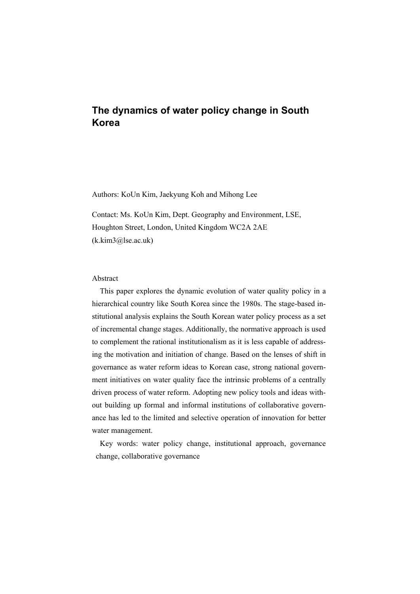# **The dynamics of water policy change in South Korea**

Authors: KoUn Kim, Jaekyung Koh and Mihong Lee

Contact: Ms. KoUn Kim, Dept. Geography and Environment, LSE, Houghton Street, London, United Kingdom WC2A 2AE (k.kim3@lse.ac.uk)

#### Abstract

This paper explores the dynamic evolution of water quality policy in a hierarchical country like South Korea since the 1980s. The stage-based institutional analysis explains the South Korean water policy process as a set of incremental change stages. Additionally, the normative approach is used to complement the rational institutionalism as it is less capable of addressing the motivation and initiation of change. Based on the lenses of shift in governance as water reform ideas to Korean case, strong national government initiatives on water quality face the intrinsic problems of a centrally driven process of water reform. Adopting new policy tools and ideas without building up formal and informal institutions of collaborative governance has led to the limited and selective operation of innovation for better water management.

Key words: water policy change, institutional approach, governance change, collaborative governance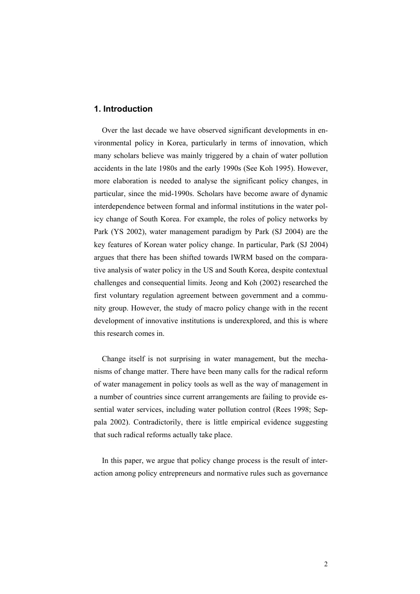## **1. Introduction**

Over the last decade we have observed significant developments in environmental policy in Korea, particularly in terms of innovation, which many scholars believe was mainly triggered by a chain of water pollution accidents in the late 1980s and the early 1990s (See Koh 1995). However, more elaboration is needed to analyse the significant policy changes, in particular, since the mid-1990s. Scholars have become aware of dynamic interdependence between formal and informal institutions in the water policy change of South Korea. For example, the roles of policy networks by Park (YS 2002), water management paradigm by Park (SJ 2004) are the key features of Korean water policy change. In particular, Park (SJ 2004) argues that there has been shifted towards IWRM based on the comparative analysis of water policy in the US and South Korea, despite contextual challenges and consequential limits. Jeong and Koh (2002) researched the first voluntary regulation agreement between government and a community group. However, the study of macro policy change with in the recent development of innovative institutions is underexplored, and this is where this research comes in.

Change itself is not surprising in water management, but the mechanisms of change matter. There have been many calls for the radical reform of water management in policy tools as well as the way of management in a number of countries since current arrangements are failing to provide essential water services, including water pollution control (Rees 1998; Seppala 2002). Contradictorily, there is little empirical evidence suggesting that such radical reforms actually take place.

In this paper, we argue that policy change process is the result of interaction among policy entrepreneurs and normative rules such as governance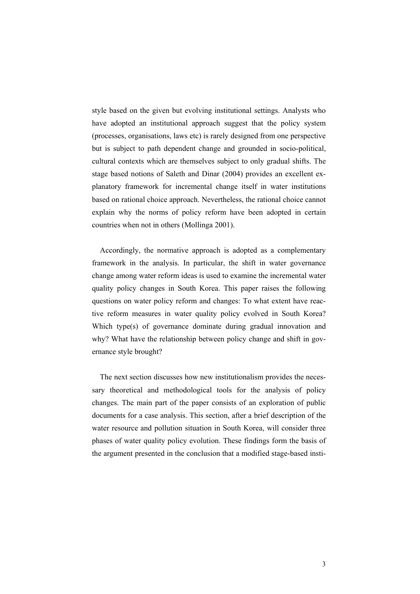style based on the given but evolving institutional settings. Analysts who have adopted an institutional approach suggest that the policy system (processes, organisations, laws etc) is rarely designed from one perspective but is subject to path dependent change and grounded in socio-political, cultural contexts which are themselves subject to only gradual shifts. The stage based notions of Saleth and Dinar (2004) provides an excellent explanatory framework for incremental change itself in water institutions based on rational choice approach. Nevertheless, the rational choice cannot explain why the norms of policy reform have been adopted in certain countries when not in others (Mollinga 2001).

Accordingly, the normative approach is adopted as a complementary framework in the analysis. In particular, the shift in water governance change among water reform ideas is used to examine the incremental water quality policy changes in South Korea. This paper raises the following questions on water policy reform and changes: To what extent have reactive reform measures in water quality policy evolved in South Korea? Which type(s) of governance dominate during gradual innovation and why? What have the relationship between policy change and shift in governance style brought?

The next section discusses how new institutionalism provides the necessary theoretical and methodological tools for the analysis of policy changes. The main part of the paper consists of an exploration of public documents for a case analysis. This section, after a brief description of the water resource and pollution situation in South Korea, will consider three phases of water quality policy evolution. These findings form the basis of the argument presented in the conclusion that a modified stage-based insti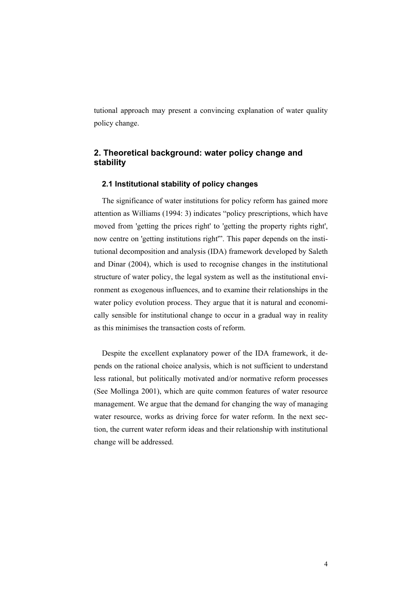tutional approach may present a convincing explanation of water quality policy change.

## **2. Theoretical background: water policy change and stability**

## **2.1 Institutional stability of policy changes**

The significance of water institutions for policy reform has gained more attention as Williams (1994: 3) indicates "policy prescriptions, which have moved from 'getting the prices right' to 'getting the property rights right', now centre on 'getting institutions right'". This paper depends on the institutional decomposition and analysis (IDA) framework developed by Saleth and Dinar (2004), which is used to recognise changes in the institutional structure of water policy, the legal system as well as the institutional environment as exogenous influences, and to examine their relationships in the water policy evolution process. They argue that it is natural and economically sensible for institutional change to occur in a gradual way in reality as this minimises the transaction costs of reform.

Despite the excellent explanatory power of the IDA framework, it depends on the rational choice analysis, which is not sufficient to understand less rational, but politically motivated and/or normative reform processes (See Mollinga 2001), which are quite common features of water resource management. We argue that the demand for changing the way of managing water resource, works as driving force for water reform. In the next section, the current water reform ideas and their relationship with institutional change will be addressed.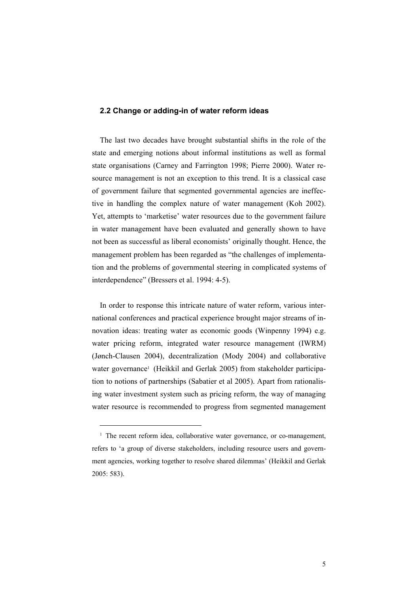#### **2.2 Change or adding-in of water reform ideas**

The last two decades have brought substantial shifts in the role of the state and emerging notions about informal institutions as well as formal state organisations (Carney and Farrington 1998; Pierre 2000). Water resource management is not an exception to this trend. It is a classical case of government failure that segmented governmental agencies are ineffective in handling the complex nature of water management (Koh 2002). Yet, attempts to 'marketise' water resources due to the government failure in water management have been evaluated and generally shown to have not been as successful as liberal economists' originally thought. Hence, the management problem has been regarded as "the challenges of implementation and the problems of governmental steering in complicated systems of interdependence" (Bressers et al. 1994: 4-5).

In order to response this intricate nature of water reform, various international conferences and practical experience brought major streams of innovation ideas: treating water as economic goods (Winpenny 1994) e.g. water pricing reform, integrated water resource management (IWRM) (Jønch-Clausen 2004), decentralization (Mody 2004) and collaborative water governance<sup>1</sup> (Heikkil and Gerlak 2005) from stakeholder participation to notions of partnerships (Sabatier et al 2005). Apart from rationalising water investment system such as pricing reform, the way of managing water resource is recommended to progress from segmented management

<u>.</u>

<sup>&</sup>lt;sup>1</sup> The recent reform idea, collaborative water governance, or co-management, refers to 'a group of diverse stakeholders, including resource users and government agencies, working together to resolve shared dilemmas' (Heikkil and Gerlak 2005: 583).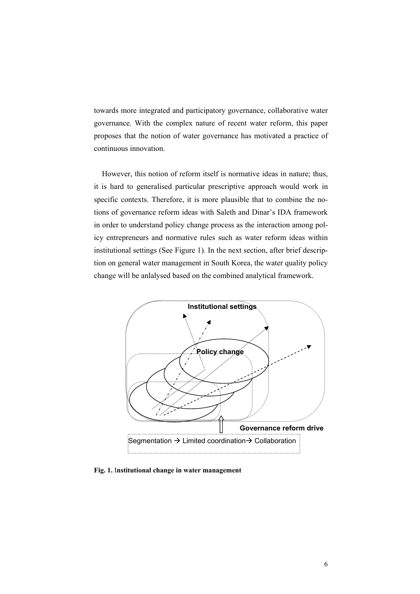towards more integrated and participatory governance, collaborative water governance. With the complex nature of recent water reform, this paper proposes that the notion of water governance has motivated a practice of continuous innovation.

However, this notion of reform itself is normative ideas in nature; thus, it is hard to generalised particular prescriptive approach would work in specific contexts. Therefore, it is more plausible that to combine the notions of governance reform ideas with Saleth and Dinar's IDA framework in order to understand policy change process as the interaction among policy entrepreneurs and normative rules such as water reform ideas within institutional settings (See Figure 1). In the next section, after brief description on general water management in South Korea, the water quality policy change will be anlalysed based on the combined analytical framework.



**Fig. 1.** I**nstitutional change in water management**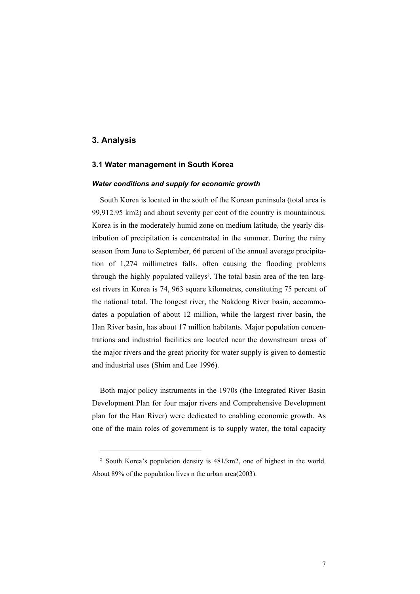## **3. Analysis**

<u>.</u>

#### **3.1 Water management in South Korea**

#### *Water conditions and supply for economic growth*

South Korea is located in the south of the Korean peninsula (total area is 99,912.95 km2) and about seventy per cent of the country is mountainous. Korea is in the moderately humid zone on medium latitude, the yearly distribution of precipitation is concentrated in the summer. During the rainy season from June to September, 66 percent of the annual average precipitation of 1,274 millimetres falls, often causing the flooding problems through the highly populated valleys<sup>2</sup>. The total basin area of the ten largest rivers in Korea is 74, 963 square kilometres, constituting 75 percent of the national total. The longest river, the Nakdong River basin, accommodates a population of about 12 million, while the largest river basin, the Han River basin, has about 17 million habitants. Major population concentrations and industrial facilities are located near the downstream areas of the major rivers and the great priority for water supply is given to domestic and industrial uses (Shim and Lee 1996).

Both major policy instruments in the 1970s (the Integrated River Basin Development Plan for four major rivers and Comprehensive Development plan for the Han River) were dedicated to enabling economic growth. As one of the main roles of government is to supply water, the total capacity

<sup>2</sup> South Korea's population density is 481/km2, one of highest in the world. About 89% of the population lives n the urban area(2003).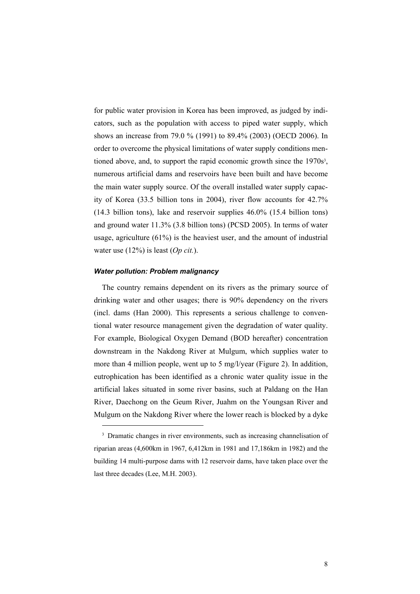for public water provision in Korea has been improved, as judged by indicators, such as the population with access to piped water supply, which shows an increase from 79.0 % (1991) to 89.4% (2003) (OECD 2006). In order to overcome the physical limitations of water supply conditions mentioned above, and, to support the rapid economic growth since the  $1970s<sup>3</sup>$ , numerous artificial dams and reservoirs have been built and have become the main water supply source. Of the overall installed water supply capacity of Korea (33.5 billion tons in 2004), river flow accounts for 42.7% (14.3 billion tons), lake and reservoir supplies 46.0% (15.4 billion tons) and ground water 11.3% (3.8 billion tons) (PCSD 2005). In terms of water usage, agriculture (61%) is the heaviest user, and the amount of industrial water use (12%) is least (*Op cit.*).

#### *Water pollution: Problem malignancy*

l

The country remains dependent on its rivers as the primary source of drinking water and other usages; there is 90% dependency on the rivers (incl. dams (Han 2000). This represents a serious challenge to conventional water resource management given the degradation of water quality. For example, Biological Oxygen Demand (BOD hereafter) concentration downstream in the Nakdong River at Mulgum, which supplies water to more than 4 million people, went up to 5 mg/l/year (Figure 2). In addition, eutrophication has been identified as a chronic water quality issue in the artificial lakes situated in some river basins, such at Paldang on the Han River, Daechong on the Geum River, Juahm on the Youngsan River and Mulgum on the Nakdong River where the lower reach is blocked by a dyke

<sup>&</sup>lt;sup>3</sup> Dramatic changes in river environments, such as increasing channelisation of riparian areas (4,600km in 1967, 6,412km in 1981 and 17,186km in 1982) and the building 14 multi-purpose dams with 12 reservoir dams, have taken place over the last three decades (Lee, M.H. 2003).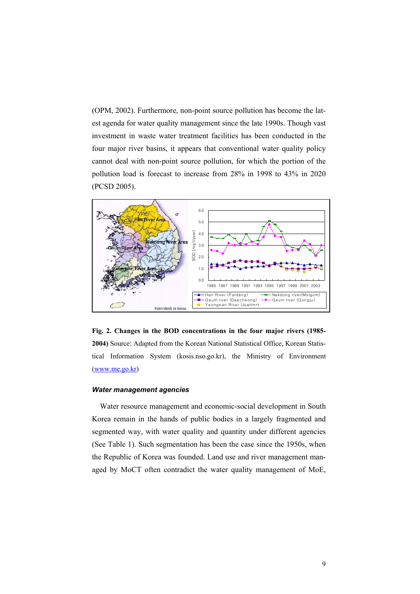(OPM, 2002). Furthermore, non-point source pollution has become the latest agenda for water quality management since the late 1990s. Though vast investment in waste water treatment facilities has been conducted in the four major river basins, it appears that conventional water quality policy cannot deal with non-point source pollution, for which the portion of the pollution load is forecast to increase from 28% in 1998 to 43% in 2020 (PCSD 2005).



**Fig. 2. Changes in the BOD concentrations in the four major rivers (1985- 2004)** Source: Adapted from the Korean National Statistical Office, Korean Statistical Information System (kosis.nso.go.kr), the Ministry of Environment (www.me.go.kr)

#### *Water management agencies*

Water resource management and economic-social development in South Korea remain in the hands of public bodies in a largely fragmented and segmented way, with water quality and quantity under different agencies (See Table 1). Such segmentation has been the case since the 1950s, when the Republic of Korea was founded. Land use and river management managed by MoCT often contradict the water quality management of MoE,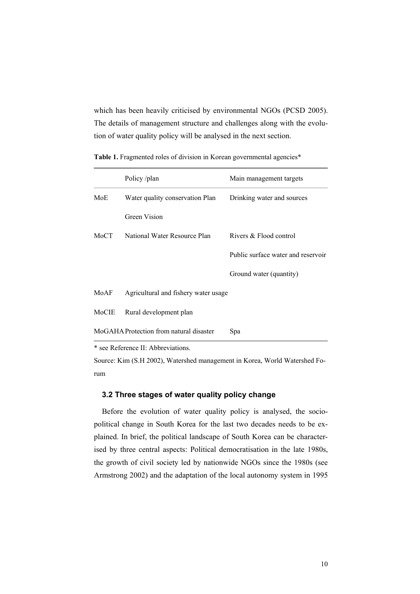which has been heavily criticised by environmental NGOs (PCSD 2005). The details of management structure and challenges along with the evolution of water quality policy will be analysed in the next section.

|                                                | Policy/plan                          | Main management targets            |  |
|------------------------------------------------|--------------------------------------|------------------------------------|--|
| MoE                                            | Water quality conservation Plan      | Drinking water and sources         |  |
|                                                | Green Vision                         |                                    |  |
| MoCT                                           | National Water Resource Plan         | Rivers & Flood control             |  |
|                                                |                                      | Public surface water and reservoir |  |
|                                                |                                      | Ground water (quantity)            |  |
| MoAF                                           | Agricultural and fishery water usage |                                    |  |
| MoCIE                                          | Rural development plan               |                                    |  |
| MoGAHA Protection from natural disaster<br>Spa |                                      |                                    |  |

Table 1. Fragmented roles of division in Korean governmental agencies\*

\* see Reference II: Abbreviations.

Source: Kim (S.H 2002), Watershed management in Korea, World Watershed Forum

## **3.2 Three stages of water quality policy change**

Before the evolution of water quality policy is analysed, the sociopolitical change in South Korea for the last two decades needs to be explained. In brief, the political landscape of South Korea can be characterised by three central aspects: Political democratisation in the late 1980s, the growth of civil society led by nationwide NGOs since the 1980s (see Armstrong 2002) and the adaptation of the local autonomy system in 1995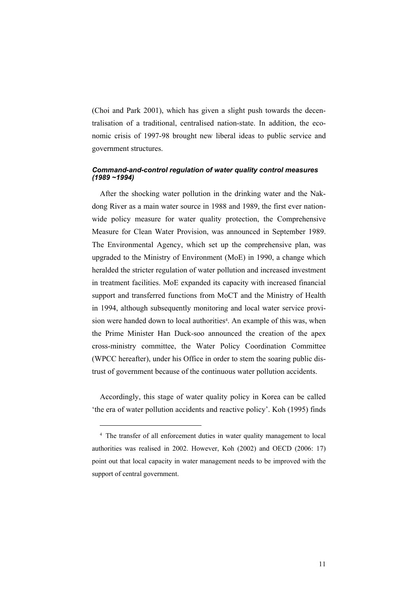(Choi and Park 2001), which has given a slight push towards the decentralisation of a traditional, centralised nation-state. In addition, the economic crisis of 1997-98 brought new liberal ideas to public service and government structures.

## *Command-and-control regulation of water quality control measures (1989 ~1994)*

After the shocking water pollution in the drinking water and the Nakdong River as a main water source in 1988 and 1989, the first ever nationwide policy measure for water quality protection, the Comprehensive Measure for Clean Water Provision, was announced in September 1989. The Environmental Agency, which set up the comprehensive plan, was upgraded to the Ministry of Environment (MoE) in 1990, a change which heralded the stricter regulation of water pollution and increased investment in treatment facilities. MoE expanded its capacity with increased financial support and transferred functions from MoCT and the Ministry of Health in 1994, although subsequently monitoring and local water service provision were handed down to local authorities<sup>4</sup>. An example of this was, when the Prime Minister Han Duck-soo announced the creation of the apex cross-ministry committee, the Water Policy Coordination Committee (WPCC hereafter), under his Office in order to stem the soaring public distrust of government because of the continuous water pollution accidents.

Accordingly, this stage of water quality policy in Korea can be called 'the era of water pollution accidents and reactive policy'. Koh (1995) finds

<u>.</u>

<sup>4</sup> The transfer of all enforcement duties in water quality management to local authorities was realised in 2002. However, Koh (2002) and OECD (2006: 17) point out that local capacity in water management needs to be improved with the support of central government.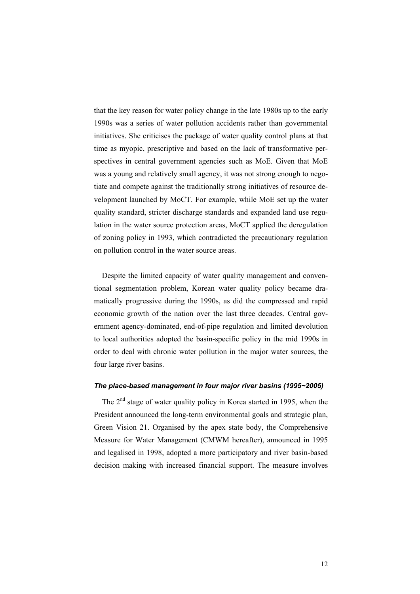that the key reason for water policy change in the late 1980s up to the early 1990s was a series of water pollution accidents rather than governmental initiatives. She criticises the package of water quality control plans at that time as myopic, prescriptive and based on the lack of transformative perspectives in central government agencies such as MoE. Given that MoE was a young and relatively small agency, it was not strong enough to negotiate and compete against the traditionally strong initiatives of resource development launched by MoCT. For example, while MoE set up the water quality standard, stricter discharge standards and expanded land use regulation in the water source protection areas, MoCT applied the deregulation of zoning policy in 1993, which contradicted the precautionary regulation on pollution control in the water source areas.

Despite the limited capacity of water quality management and conventional segmentation problem, Korean water quality policy became dramatically progressive during the 1990s, as did the compressed and rapid economic growth of the nation over the last three decades. Central government agency-dominated, end-of-pipe regulation and limited devolution to local authorities adopted the basin-specific policy in the mid 1990s in order to deal with chronic water pollution in the major water sources, the four large river basins.

#### *The place-based management in four major river basins (1995~2005)*

The 2<sup>nd</sup> stage of water quality policy in Korea started in 1995, when the President announced the long-term environmental goals and strategic plan, Green Vision 21. Organised by the apex state body, the Comprehensive Measure for Water Management (CMWM hereafter), announced in 1995 and legalised in 1998, adopted a more participatory and river basin-based decision making with increased financial support. The measure involves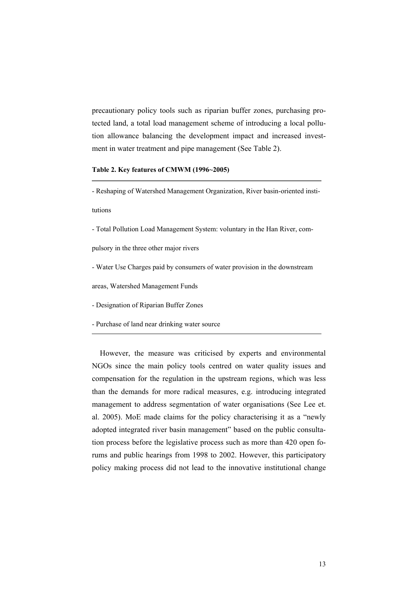precautionary policy tools such as riparian buffer zones, purchasing protected land, a total load management scheme of introducing a local pollution allowance balancing the development impact and increased investment in water treatment and pipe management (See Table 2).

#### **Table 2. Key features of CMWM (1996~2005)**

- Reshaping of Watershed Management Organization, River basin-oriented insti-

tutions

- Total Pollution Load Management System: voluntary in the Han River, com-

pulsory in the three other major rivers

- Water Use Charges paid by consumers of water provision in the downstream

areas, Watershed Management Funds

- Designation of Riparian Buffer Zones

- Purchase of land near drinking water source

However, the measure was criticised by experts and environmental NGOs since the main policy tools centred on water quality issues and compensation for the regulation in the upstream regions, which was less than the demands for more radical measures, e.g. introducing integrated management to address segmentation of water organisations (See Lee et. al. 2005). MoE made claims for the policy characterising it as a "newly adopted integrated river basin management" based on the public consultation process before the legislative process such as more than 420 open forums and public hearings from 1998 to 2002. However, this participatory policy making process did not lead to the innovative institutional change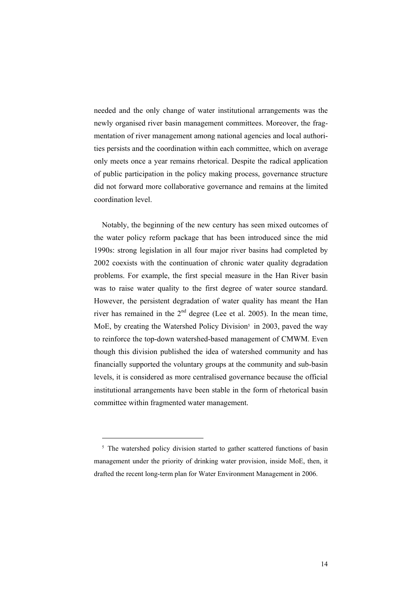needed and the only change of water institutional arrangements was the newly organised river basin management committees. Moreover, the fragmentation of river management among national agencies and local authorities persists and the coordination within each committee, which on average only meets once a year remains rhetorical. Despite the radical application of public participation in the policy making process, governance structure did not forward more collaborative governance and remains at the limited coordination level.

Notably, the beginning of the new century has seen mixed outcomes of the water policy reform package that has been introduced since the mid 1990s: strong legislation in all four major river basins had completed by 2002 coexists with the continuation of chronic water quality degradation problems. For example, the first special measure in the Han River basin was to raise water quality to the first degree of water source standard. However, the persistent degradation of water quality has meant the Han river has remained in the  $2<sup>nd</sup>$  degree (Lee et al. 2005). In the mean time, MoE, by creating the Watershed Policy Division<sup>5</sup> in 2003, paved the way to reinforce the top-down watershed-based management of CMWM. Even though this division published the idea of watershed community and has financially supported the voluntary groups at the community and sub-basin levels, it is considered as more centralised governance because the official institutional arrangements have been stable in the form of rhetorical basin committee within fragmented water management.

l

<sup>&</sup>lt;sup>5</sup> The watershed policy division started to gather scattered functions of basin management under the priority of drinking water provision, inside MoE, then, it drafted the recent long-term plan for Water Environment Management in 2006.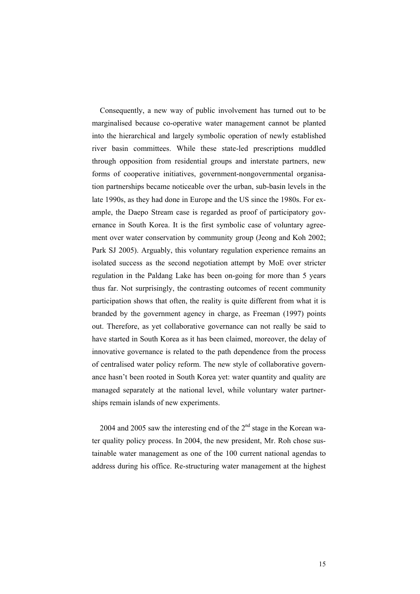Consequently, a new way of public involvement has turned out to be marginalised because co-operative water management cannot be planted into the hierarchical and largely symbolic operation of newly established river basin committees. While these state-led prescriptions muddled through opposition from residential groups and interstate partners, new forms of cooperative initiatives, government-nongovernmental organisation partnerships became noticeable over the urban, sub-basin levels in the late 1990s, as they had done in Europe and the US since the 1980s. For example, the Daepo Stream case is regarded as proof of participatory governance in South Korea. It is the first symbolic case of voluntary agreement over water conservation by community group (Jeong and Koh 2002; Park SJ 2005). Arguably, this voluntary regulation experience remains an isolated success as the second negotiation attempt by MoE over stricter regulation in the Paldang Lake has been on-going for more than 5 years thus far. Not surprisingly, the contrasting outcomes of recent community participation shows that often, the reality is quite different from what it is branded by the government agency in charge, as Freeman (1997) points out. Therefore, as yet collaborative governance can not really be said to have started in South Korea as it has been claimed, moreover, the delay of innovative governance is related to the path dependence from the process of centralised water policy reform. The new style of collaborative governance hasn't been rooted in South Korea yet: water quantity and quality are managed separately at the national level, while voluntary water partnerships remain islands of new experiments.

2004 and 2005 saw the interesting end of the  $2<sup>nd</sup>$  stage in the Korean water quality policy process. In 2004, the new president, Mr. Roh chose sustainable water management as one of the 100 current national agendas to address during his office. Re-structuring water management at the highest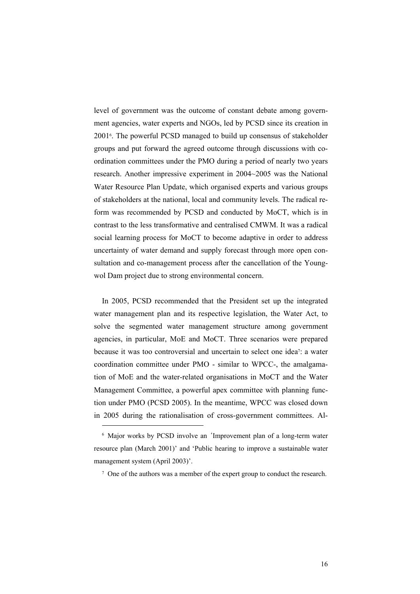level of government was the outcome of constant debate among government agencies, water experts and NGOs, led by PCSD since its creation in 20016. The powerful PCSD managed to build up consensus of stakeholder groups and put forward the agreed outcome through discussions with coordination committees under the PMO during a period of nearly two years research. Another impressive experiment in 2004~2005 was the National Water Resource Plan Update, which organised experts and various groups of stakeholders at the national, local and community levels. The radical reform was recommended by PCSD and conducted by MoCT, which is in contrast to the less transformative and centralised CMWM. It was a radical social learning process for MoCT to become adaptive in order to address uncertainty of water demand and supply forecast through more open consultation and co-management process after the cancellation of the Youngwol Dam project due to strong environmental concern.

In 2005, PCSD recommended that the President set up the integrated water management plan and its respective legislation, the Water Act, to solve the segmented water management structure among government agencies, in particular, MoE and MoCT. Three scenarios were prepared because it was too controversial and uncertain to select one idea7: a water coordination committee under PMO - similar to WPCC-, the amalgamation of MoE and the water-related organisations in MoCT and the Water Management Committee, a powerful apex committee with planning function under PMO (PCSD 2005). In the meantime, WPCC was closed down in 2005 during the rationalisation of cross-government committees. Al-

l

<sup>6</sup> Major works by PCSD involve an 'Improvement plan of a long-term water resource plan (March 2001)' and 'Public hearing to improve a sustainable water management system (April 2003)'.

<sup>7</sup> One of the authors was a member of the expert group to conduct the research.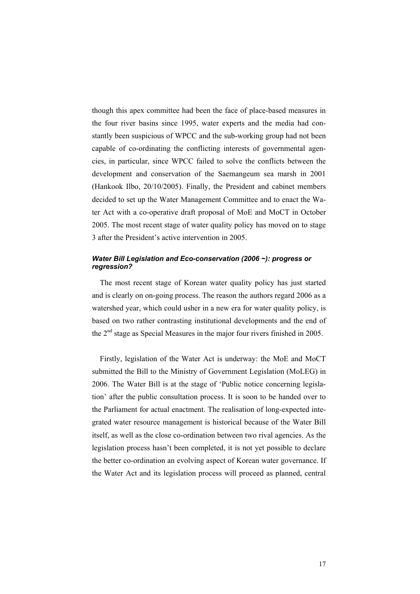though this apex committee had been the face of place-based measures in the four river basins since 1995, water experts and the media had constantly been suspicious of WPCC and the sub-working group had not been capable of co-ordinating the conflicting interests of governmental agencies, in particular, since WPCC failed to solve the conflicts between the development and conservation of the Saemangeum sea marsh in 2001 (Hankook Ilbo, 20/10/2005). Finally, the President and cabinet members decided to set up the Water Management Committee and to enact the Water Act with a co-operative draft proposal of MoE and MoCT in October 2005. The most recent stage of water quality policy has moved on to stage 3 after the President's active intervention in 2005.

## *Water Bill Legislation and Eco-conservation (2006 ~): progress or regression?*

The most recent stage of Korean water quality policy has just started and is clearly on on-going process. The reason the authors regard 2006 as a watershed year, which could usher in a new era for water quality policy, is based on two rather contrasting institutional developments and the end of the 2<sup>nd</sup> stage as Special Measures in the major four rivers finished in 2005.

Firstly, legislation of the Water Act is underway: the MoE and MoCT submitted the Bill to the Ministry of Government Legislation (MoLEG) in 2006. The Water Bill is at the stage of 'Public notice concerning legislation' after the public consultation process. It is soon to be handed over to the Parliament for actual enactment. The realisation of long-expected integrated water resource management is historical because of the Water Bill itself, as well as the close co-ordination between two rival agencies. As the legislation process hasn't been completed, it is not yet possible to declare the better co-ordination an evolving aspect of Korean water governance. If the Water Act and its legislation process will proceed as planned, central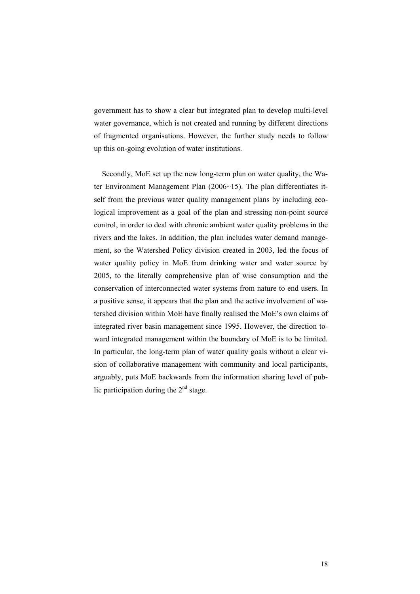government has to show a clear but integrated plan to develop multi-level water governance, which is not created and running by different directions of fragmented organisations. However, the further study needs to follow up this on-going evolution of water institutions.

Secondly, MoE set up the new long-term plan on water quality, the Water Environment Management Plan (2006~15). The plan differentiates itself from the previous water quality management plans by including ecological improvement as a goal of the plan and stressing non-point source control, in order to deal with chronic ambient water quality problems in the rivers and the lakes. In addition, the plan includes water demand management, so the Watershed Policy division created in 2003, led the focus of water quality policy in MoE from drinking water and water source by 2005, to the literally comprehensive plan of wise consumption and the conservation of interconnected water systems from nature to end users. In a positive sense, it appears that the plan and the active involvement of watershed division within MoE have finally realised the MoE's own claims of integrated river basin management since 1995. However, the direction toward integrated management within the boundary of MoE is to be limited. In particular, the long-term plan of water quality goals without a clear vision of collaborative management with community and local participants, arguably, puts MoE backwards from the information sharing level of public participation during the  $2<sup>nd</sup>$  stage.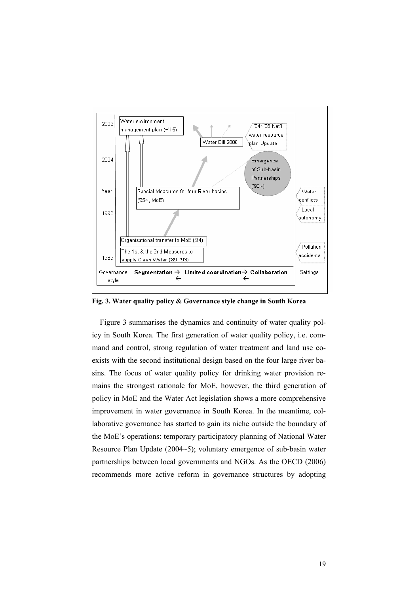

**Fig. 3. Water quality policy & Governance style change in South Korea**

Figure 3 summarises the dynamics and continuity of water quality policy in South Korea. The first generation of water quality policy, i.e. command and control, strong regulation of water treatment and land use coexists with the second institutional design based on the four large river basins. The focus of water quality policy for drinking water provision remains the strongest rationale for MoE, however, the third generation of policy in MoE and the Water Act legislation shows a more comprehensive improvement in water governance in South Korea. In the meantime, collaborative governance has started to gain its niche outside the boundary of the MoE's operations: temporary participatory planning of National Water Resource Plan Update (2004~5); voluntary emergence of sub-basin water partnerships between local governments and NGOs. As the OECD (2006) recommends more active reform in governance structures by adopting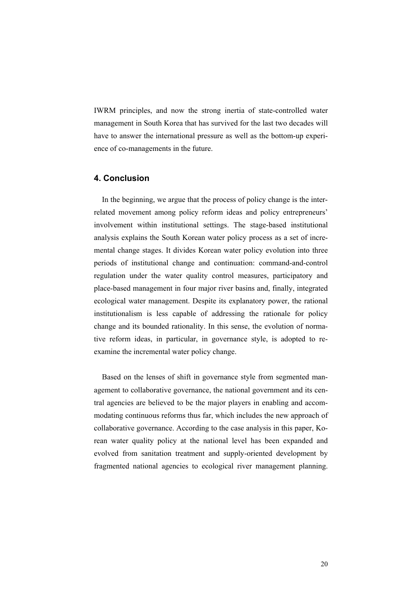IWRM principles, and now the strong inertia of state-controlled water management in South Korea that has survived for the last two decades will have to answer the international pressure as well as the bottom-up experience of co-managements in the future.

## **4. Conclusion**

In the beginning, we argue that the process of policy change is the interrelated movement among policy reform ideas and policy entrepreneurs' involvement within institutional settings. The stage-based institutional analysis explains the South Korean water policy process as a set of incremental change stages. It divides Korean water policy evolution into three periods of institutional change and continuation: command-and-control regulation under the water quality control measures, participatory and place-based management in four major river basins and, finally, integrated ecological water management. Despite its explanatory power, the rational institutionalism is less capable of addressing the rationale for policy change and its bounded rationality. In this sense, the evolution of normative reform ideas, in particular, in governance style, is adopted to reexamine the incremental water policy change.

Based on the lenses of shift in governance style from segmented management to collaborative governance, the national government and its central agencies are believed to be the major players in enabling and accommodating continuous reforms thus far, which includes the new approach of collaborative governance. According to the case analysis in this paper, Korean water quality policy at the national level has been expanded and evolved from sanitation treatment and supply-oriented development by fragmented national agencies to ecological river management planning.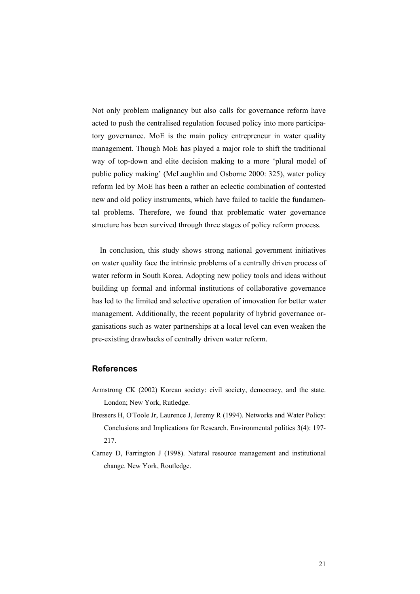Not only problem malignancy but also calls for governance reform have acted to push the centralised regulation focused policy into more participatory governance. MoE is the main policy entrepreneur in water quality management. Though MoE has played a major role to shift the traditional way of top-down and elite decision making to a more 'plural model of public policy making' (McLaughlin and Osborne 2000: 325), water policy reform led by MoE has been a rather an eclectic combination of contested new and old policy instruments, which have failed to tackle the fundamental problems. Therefore, we found that problematic water governance structure has been survived through three stages of policy reform process.

In conclusion, this study shows strong national government initiatives on water quality face the intrinsic problems of a centrally driven process of water reform in South Korea. Adopting new policy tools and ideas without building up formal and informal institutions of collaborative governance has led to the limited and selective operation of innovation for better water management. Additionally, the recent popularity of hybrid governance organisations such as water partnerships at a local level can even weaken the pre-existing drawbacks of centrally driven water reform.

## **References**

- Armstrong CK (2002) Korean society: civil society, democracy, and the state. London; New York, Rutledge.
- Bressers H, O'Toole Jr, Laurence J, Jeremy R (1994). Networks and Water Policy: Conclusions and Implications for Research. Environmental politics 3(4): 197- 217.
- Carney D, Farrington J (1998). Natural resource management and institutional change. New York, Routledge.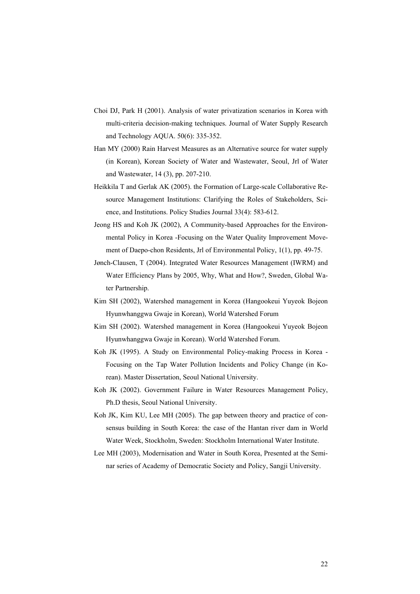- Choi DJ, Park H (2001). Analysis of water privatization scenarios in Korea with multi-criteria decision-making techniques. Journal of Water Supply Research and Technology AQUA. 50(6): 335-352.
- Han MY (2000) Rain Harvest Measures as an Alternative source for water supply (in Korean), Korean Society of Water and Wastewater, Seoul, Jrl of Water and Wastewater, 14 (3), pp. 207-210.
- Heikkila T and Gerlak AK (2005). the Formation of Large-scale Collaborative Resource Management Institutions: Clarifying the Roles of Stakeholders, Science, and Institutions. Policy Studies Journal 33(4): 583-612.
- Jeong HS and Koh JK (2002), A Community-based Approaches for the Environmental Policy in Korea -Focusing on the Water Quality Improvement Movement of Daepo-chon Residents, Jrl of Environmental Policy, 1(1), pp. 49-75.
- Jønch-Clausen, T (2004). Integrated Water Resources Management (IWRM) and Water Efficiency Plans by 2005, Why, What and How?, Sweden, Global Water Partnership.
- Kim SH (2002), Watershed management in Korea (Hangookeui Yuyeok Bojeon Hyunwhanggwa Gwaje in Korean), World Watershed Forum
- Kim SH (2002). Watershed management in Korea (Hangookeui Yuyeok Bojeon Hyunwhanggwa Gwaje in Korean). World Watershed Forum.
- Koh JK (1995). A Study on Environmental Policy-making Process in Korea Focusing on the Tap Water Pollution Incidents and Policy Change (in Korean). Master Dissertation, Seoul National University.
- Koh JK (2002). Government Failure in Water Resources Management Policy, Ph.D thesis, Seoul National University.
- Koh JK, Kim KU, Lee MH (2005). The gap between theory and practice of consensus building in South Korea: the case of the Hantan river dam in World Water Week, Stockholm, Sweden: Stockholm International Water Institute.
- Lee MH (2003), Modernisation and Water in South Korea, Presented at the Seminar series of Academy of Democratic Society and Policy, Sangji University.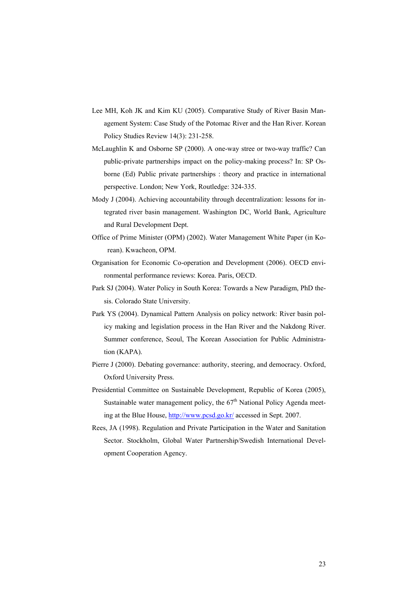- Lee MH, Koh JK and Kim KU (2005). Comparative Study of River Basin Management System: Case Study of the Potomac River and the Han River. Korean Policy Studies Review 14(3): 231-258.
- McLaughlin K and Osborne SP (2000). A one-way stree or two-way traffic? Can public-private partnerships impact on the policy-making process? In: SP Osborne (Ed) Public private partnerships : theory and practice in international perspective. London; New York, Routledge: 324-335.
- Mody J (2004). Achieving accountability through decentralization: lessons for integrated river basin management. Washington DC, World Bank, Agriculture and Rural Development Dept.
- Office of Prime Minister (OPM) (2002). Water Management White Paper (in Korean). Kwacheon, OPM.
- Organisation for Economic Co-operation and Development (2006). OECD environmental performance reviews: Korea. Paris, OECD.
- Park SJ (2004). Water Policy in South Korea: Towards a New Paradigm, PhD thesis. Colorado State University.
- Park YS (2004). Dynamical Pattern Analysis on policy network: River basin policy making and legislation process in the Han River and the Nakdong River. Summer conference, Seoul, The Korean Association for Public Administration (KAPA).
- Pierre J (2000). Debating governance: authority, steering, and democracy. Oxford, Oxford University Press.
- Presidential Committee on Sustainable Development, Republic of Korea (2005), Sustainable water management policy, the 67<sup>th</sup> National Policy Agenda meeting at the Blue House, http://www.pcsd.go.kr/ accessed in Sept. 2007.
- Rees, JA (1998). Regulation and Private Participation in the Water and Sanitation Sector. Stockholm, Global Water Partnership/Swedish International Development Cooperation Agency.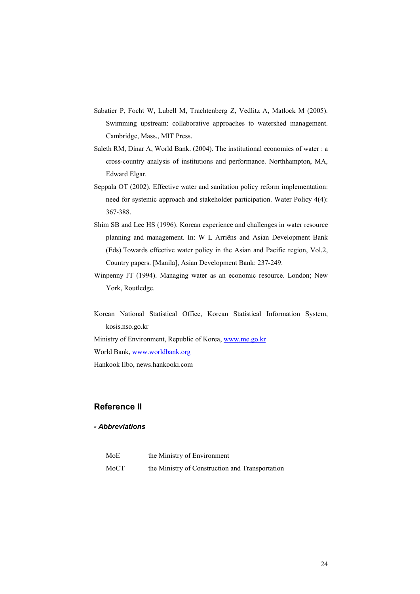- Sabatier P, Focht W, Lubell M, Trachtenberg Z, Vedlitz A, Matlock M (2005). Swimming upstream: collaborative approaches to watershed management. Cambridge, Mass., MIT Press.
- Saleth RM, Dinar A, World Bank. (2004). The institutional economics of water : a cross-country analysis of institutions and performance. Northhampton, MA, Edward Elgar.
- Seppala OT (2002). Effective water and sanitation policy reform implementation: need for systemic approach and stakeholder participation. Water Policy 4(4): 367-388.
- Shim SB and Lee HS (1996). Korean experience and challenges in water resource planning and management. In: W L Arriëns and Asian Development Bank (Eds).Towards effective water policy in the Asian and Pacific region, Vol.2, Country papers. [Manila], Asian Development Bank: 237-249.
- Winpenny JT (1994). Managing water as an economic resource. London; New York, Routledge.
- Korean National Statistical Office, Korean Statistical Information System, kosis.nso.go.kr

Ministry of Environment, Republic of Korea, www.me.go.kr World Bank, www.worldbank.org

Hankook Ilbo, news.hankooki.com

## **Reference II**

#### *- Abbreviations*

| MoE  | the Ministry of Environment                     |
|------|-------------------------------------------------|
| MoCT | the Ministry of Construction and Transportation |